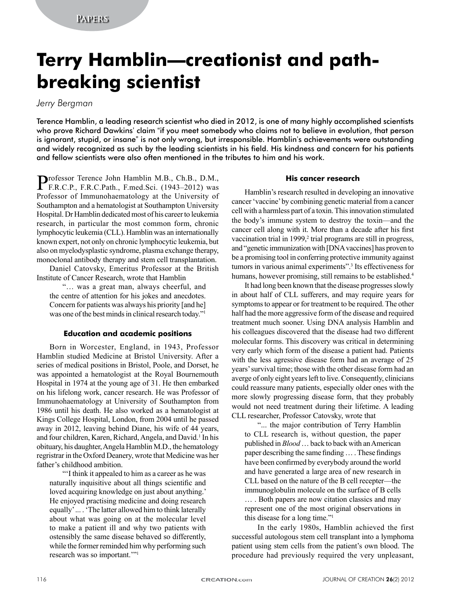# **Terry Hamblin—creationist and pathbreaking scientist**

## *Jerry Bergman*

Terence Hamblin, a leading research scientist who died in 2012, is one of many highly accomplished scientists who prove Richard Dawkins' claim "if you meet somebody who claims not to believe in evolution, that person is ignorant, stupid, or insane" is not only wrong, but irresponsible. Hamblin's achievements were outstanding and widely recognized as such by the leading scientists in his field. His kindness and concern for his patients and fellow scientists were also often mentioned in the tributes to him and his work.

Professor Terence John Hamblin M.B., Ch.B., D.M., F.R.C.P., F.R.C.Path., F.med.Sci. (1943–2012) was Professor of Immunohaematology at the University of Southampton and a hematologist at Southampton University Hospital. Dr Hamblin dedicated most of his career to leukemia research, in particular the most common form, chronic lymphocytic leukemia (CLL). Hamblin was an internationally known expert, not only on chronic lymphocytic leukemia, but also on myelodysplastic syndrome, plasma exchange therapy, monoclonal antibody therapy and stem cell transplantation.

Daniel Catovsky, Emeritus Professor at the British Institute of Cancer Research, wrote that Hamblin

"… was a great man, always cheerful, and the centre of attention for his jokes and anecdotes. Concern for patients was always his priority [and he] was one of the best minds in clinical research today."

#### **Education and academic positions**

Born in Worcester, England, in 1943, Professor Hamblin studied Medicine at Bristol University. After a series of medical positions in Bristol, Poole, and Dorset, he was appointed a hematologist at the Royal Bournemouth Hospital in 1974 at the young age of 31. He then embarked on his lifelong work, cancer research. He was Professor of Immunohaematology at University of Southampton from 1986 until his death. He also worked as a hematologist at Kings College Hospital, London, from 2004 until he passed away in 2012, leaving behind Diane, his wife of 44 years, and four children, Karen, Richard, Angela, and David.<sup>1</sup> In his obituary, his daughter, Angela Hamblin M.D., the hematology regristrar in the Oxford Deanery, wrote that Medicine was her father's childhood ambition.

"'I think it appealed to him as a career as he was naturally inquisitive about all things scientific and loved acquiring knowledge on just about anything.' He enjoyed practising medicine and doing research equally' ... . 'The latter allowed him to think laterally about what was going on at the molecular level to make a patient ill and why two patients with ostensibly the same disease behaved so differently, while the former reminded him why performing such research was so important.'"1

#### **His cancer research**

Hamblin's research resulted in developing an innovative cancer 'vaccine' by combining genetic material from a cancer cell with a harmless part of a toxin. This innovation stimulated the body's immune system to destroy the toxin—and the cancer cell along with it. More than a decade after his first vaccination trial in 1999,<sup>2</sup> trial programs are still in progress, and "genetic immunization with [DNA vaccines] has proven to be a promising tool in conferring protective immunity against tumors in various animal experiments".3 Its effectiveness for humans, however promising, still remains to be established.<sup>4</sup>

It had long been known that the disease progresses slowly in about half of CLL sufferers, and may require years for symptoms to appear or for treatment to be required. The other half had the more aggressive form of the disease and required treatment much sooner. Using DNA analysis Hamblin and his colleagues discovered that the disease had two different molecular forms. This discovery was critical in determining very early which form of the disease a patient had. Patients with the less agressive disease form had an average of 25 years' survival time; those with the other disease form had an averge of only eight years left to live. Consequently, clinicians could reassure many patients, especially older ones with the more slowly progressing disease form, that they probably would not need treatment during their lifetime. A leading CLL researcher, Professor Catovsky, wrote that

"... the major contribution of Terry Hamblin to CLL research is, without question, the paper published in *Blood* … back to back with an American paper describing the same finding … . These findings have been confirmed by everybody around the world and have generated a large area of new research in CLL based on the nature of the B cell recepter—the immunoglobulin molecule on the surface of B cells

… . Both papers are now citation classics and may represent one of the most original observations in this disease for a long time."1

In the early 1980s, Hamblin achieved the first successful autologous stem cell transplant into a lymphoma patient using stem cells from the patient's own blood. The procedure had previously required the very unpleasant,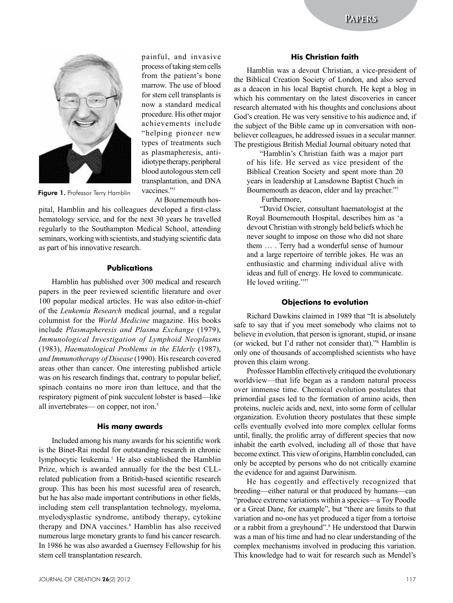

painful, and invasive process of taking stem cells from the patient's bone marrow. The use of blood for stem cell transplants is now a standard medical procedure. His other major achievements include "helping pioneer new types of treatments such as plasmapheresis, antiidiotype therapy, peripheral blood autologous stem cell transplantation, and DNA vaccines."<sup>1</sup>

Figure 1. Professor Terry Hamblin

At Bournemouth hos-

pital, Hamblin and his colleagues developed a first-class hematology service, and for the next 30 years he travelled regularly to the Southampton Medical School, attending seminars, working with scientists, and studying scientific data as part of his innovative research.

#### **Publications**

Hamblin has published over 300 medical and research papers in the peer reviewed scientific literature and over 100 popular medical articles. He was also editor-in-chief of the *Leukemia Research* medical journal, and a regular columnist for the *World Medicine* magazine. His books include *Plasmapheresis and Plasma Exchange* (1979), *Immunological Investigation of Lymphoid Neoplasms* (1983), *Haematological Problems in the Elderly* (1987), *and Immunotherapy of Disease* (1990). His research covered areas other than cancer. One interesting published article was on his research findings that, contrary to popular belief, spinach contains no more iron than lettuce, and that the respiratory pigment of pink succulent lobster is based—like all invertebrates— on copper, not iron.<sup>5</sup>

#### **His many awards**

Included among his many awards for his scientific work is the Binet-Rai medal for outstanding research in chronic lymphocytic leukemia.<sup>1</sup> He also established the Hamblin Prize, which is awarded annually for the the best CLLrelated publication from a British-based scientific research group. This has been his most sucessful area of research, but he has also made important contributions in other fields, including stem cell transplantation technology, myeloma, myelodysplastic syndrome, antibody therapy, cytokine therapy and DNA vaccines.<sup>6</sup> Hamblin has also received numerous large monetary grants to fund his cancer research. In 1986 he was also awarded a Guernsey Fellowship for his stem cell transplantation research.

Hamblin was a devout Christian, a vice-president of the Biblical Creation Society of London, and also served as a deacon in his local Baptist church. He kept a blog in which his commentary on the latest discoveries in cancer research alternated with his thoughts and conclusions about God's creation. He was very sensitive to his audience and, if the subject of the Bible came up in conversation with nonbeliever colleagues, he addressed issues in a secular manner. The prestigious British Medial Journal obituary noted that

"Hamblin's Christian faith was a major part of his life. He served as vice president of the Biblical Creation Society and spent more than 20 years in leadership at Lansdowne Baptist Chuch in Bournemouth as deacon, elder and lay preacher."7

Furthermore,

"David Oscier, consultant haematologist at the Royal Bournemouth Hospital, describes him as 'a devout Christian with strongly held beliefs which he never sought to impose on those who did not share them … . Terry had a wonderful sense of humour and a large repertoire of terrible jokes. He was an enthusiastic and charming individual alive with ideas and full of energy. He loved to communicate. He loved writing.""7

#### **Objections to evolution**

Richard Dawkins claimed in 1989 that "It is absolutely safe to say that if you meet somebody who claims not to believe in evolution, that person is ignorant, stupid, or insane (or wicked, but I'd rather not consider that)."8 Hamblin is only one of thousands of accomplished scientists who have proven this claim wrong.

Professor Hamblin effectively critiqued the evolutionary worldview—that life began as a random natural process over immense time. Chemical evolution postulates that primordial gases led to the formation of amino acids, then proteins, nucleic acids and, next, into some form of cellular organization. Evolution theory postulates that these simple cells eventually evolved into more complex cellular forms until, finally, the prolific array of different species that now inhabit the earth evolved, including all of those that have become extinct. This view of origins, Hamblin concluded, can only be accepted by persons who do not critically examine the evidence for and against Darwinism.

He has cogently and effectively recognized that breeding—either natural or that produced by humans—can "produce extreme variations within a species—a Toy Poodle or a Great Dane, for example", but "there are limits to that variation and no-one has yet produced a tiger from a tortoise or a rabbit from a greyhound".9 He understood that Darwin was a man of his time and had no clear understanding of the complex mechanisms involved in producing this variation. This knowledge had to wait for research such as Mendel's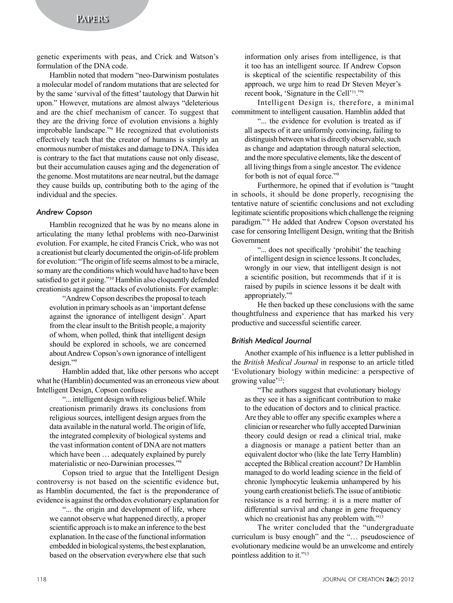genetic experiments with peas, and Crick and Watson's formulation of the DNA code.

Hamblin noted that modern "neo-Darwinism postulates a molecular model of random mutations that are selected for by the same 'survival of the fittest' tautology that Darwin hit upon." However, mutations are almost always "deleterious and are the chief mechanism of cancer. To suggest that they are the driving force of evolution envisions a highly improbable landscape."9 He recognized that evolutionists effectively teach that the creator of humans is simply an enormous number of mistakes and damage to DNA. This idea is contrary to the fact that mutations cause not only disease, but their accumulation causes aging and the degeneration of the genome. Most mutatitons are near neutral, but the damage they cause builds up, contributing both to the aging of the individual and the species.

#### *Andrew Copson*

Hamblin recognized that he was by no means alone in articulating the many lethal problems with neo-Darwinist evolution. For example, he cited Francis Crick, who was not a creationist but clearly documented the origin-of-life problem for evolution: "The origin of life seems almost to be a miracle, so many are the conditions which would have had to have been satisfied to get it going."10 Hamblin also eloquently defended creationists against the attacks of evolutionists. For example:

"Andrew Copson describes the proposal to teach evolution in primary schools as an 'important defense against the ignorance of intelligent design'. Apart from the clear insult to the British people, a majority of whom, when polled, think that intelligent design should be explored in schools, we are concerned about Andrew Copson's own ignorance of intelligent design."9

Hamblin added that, like other persons who accept what he (Hamblin) documented was an erroneous view about Intelligent Design, Copson confuses

"... intelligent design with religious belief. While creationism primarily draws its conclusions from religious sources, intelligent design argues from the data available in the natural world. The origin of life, the integrated complexity of biological systems and the vast information content of DNA are not matters which have been … adequately explained by purely materialistic or neo-Darwinian processes."9

Copson tried to argue that the Intelligent Design controversy is not based on the scientific evidence but, as Hamblin documented, the fact is the preponderance of evidence is against the orthodox evolutionary explanation for

"... the origin and development of life, where we cannot observe what happened directly, a proper scientific approach is to make an inference to the best explanation. In the case of the functional information embedded in biological systems, the best explanation, based on the observation everywhere else that such information only arises from intelligence, is that it too has an intelligent source. If Andrew Copson is skeptical of the scientific respectability of this approach, we urge him to read Dr Steven Meyer's recent book, 'Signature in the Cell'11."9

Intelligent Design is, therefore, a minimal commitment to intelligent causation. Hamblin added that

"... the evidence for evolution is treated as if all aspects of it are uniformly convincing, failing to distinguish between what is directly observable, such as change and adaptation through natural selection, and the more speculative elements, like the descent of all living things from a single ancestor. The evidence for both is not of equal force."9

Furthermore, he opined that if evolution is "taught in schools, it should be done properly, recognising the tentative nature of scientific conclusions and not excluding legitimate scientific propositions which challenge the reigning paradigm."<sup>9</sup> He added that Andrew Copson overstated his case for censoring Intelligent Design, writing that the British Government

"... does not specifically 'prohibit' the teaching of intelligent design in science lessons. It concludes, wrongly in our view, that intelligent design is not a scientific position, but recommends that if it is raised by pupils in science lessons it be dealt with appropriately."9

He then backed up these conclusions with the same thoughtfulness and experience that has marked his very productive and successful scientific career.

#### *British Medical Journal*

Another example of his influence is a letter published in the *British Medical Journal* in response to an article titled 'Evolutionary biology within medicine: a perspective of growing value'12:

"The authors suggest that evolutionary biology as they see it has a significant contribution to make to the education of doctors and to clinical practice. Are they able to offer any specific examples where a clinician or researcher who fully accepted Darwinian theory could design or read a clinical trial, make a diagnosis or manage a patient better than an equivalent doctor who (like the late Terry Hamblin) accepted the Biblical creation account? Dr Hamblin managed to do world leading science in the field of chronic lymphocytic leukemia unhampered by his young earth creationist beliefs.The issue of antibiotic resistance is a red herring: it is a mere matter of differential survival and change in gene frequency which no creationist has any problem with."<sup>13</sup>

The writer concluded that the "undergraduate curriculum is busy enough" and the "… pseudoscience of evolutionary medicine would be an unwelcome and entirely pointless addition to it."13